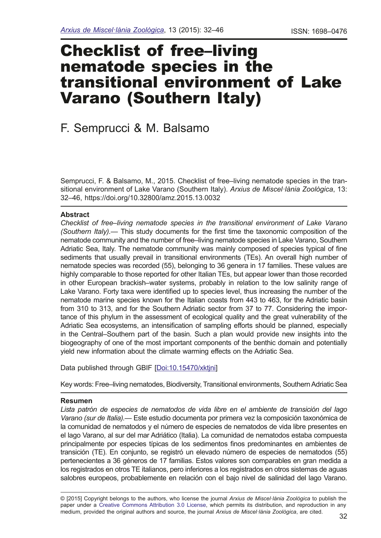# Checklist of free–living nematode species in the transitional environment of Lake Varano (Southern Italy)

## F. Semprucci & M. Balsamo

Semprucci, F. & Balsamo, M., 2015. Checklist of free–living nematode species in the transitional environment of Lake Varano (Southern Italy). *Arxius de Miscel·lània Zoològica*, 13: 32–46, https://doi.org/10.32800/amz.2015.13.0032

## **Abstract**

*Checklist of free–living nematode species in the transitional environment of Lake Varano (Southern Italy).—* This study documents for the frst time the taxonomic composition of the nematode community and the number of free–living nematode species in Lake Varano, Southern Adriatic Sea, Italy. The nematode community was mainly composed of species typical of fne sediments that usually prevail in transitional environments (TEs). An overall high number of nematode species was recorded (55), belonging to 36 genera in 17 families. These values are highly comparable to those reported for other Italian TEs, but appear lower than those recorded in other European brackish–water systems, probably in relation to the low salinity range of Lake Varano. Forty taxa were identifed up to species level, thus increasing the number of the nematode marine species known for the Italian coasts from 443 to 463, for the Adriatic basin from 310 to 313, and for the Southern Adriatic sector from 37 to 77. Considering the importance of this phylum in the assessment of ecological quality and the great vulnerability of the Adriatic Sea ecosystems, an intensifcation of sampling efforts should be planned, especially in the Central–Southern part of the basin. Such a plan would provide new insights into the biogeography of one of the most important components of the benthic domain and potentially yield new information about the climate warming effects on the Adriatic Sea.

Data published through GBIF [D[oi:10.15470/xktjni](http://www.gbif.es/ipt/resource?r=semprucci_nematode)]

Key words: Free–living nematodes, Biodiversity, Transitional environments, Southern Adriatic Sea

## **Resumen**

*Lista patrón de especies de nematodos de vida libre en el ambiente de transición del lago Varano (sur de Italia).—* Este estudio documenta por primera vez la composición taxonómica de la comunidad de nematodos y el número de especies de nematodos de vida libre presentes en el lago Varano, al sur del mar Adriático (Italia). La comunidad de nematodos estaba compuesta principalmente por especies típicas de los sedimentos fnos predominantes en ambientes de transición (TE). En conjunto, se registró un elevado número de especies de nematodos (55) pertenecientes a 36 géneros de 17 familias. Estos valores son comparables en gran medida a los registrados en otros TE italianos, pero inferiores a los registrados en otros sistemas de aguas salobres europeos, probablemente en relación con el bajo nivel de salinidad del lago Varano.

© [2015] Copyright belongs to the authors, who license the journal *Arxius de Miscel·lània Zoològica* to publish the paper under a [Creative Commons Attribution 3.0 License,](http://creativecommons.org/licenses/by/3.0/deed.en) which permits its distribution, and reproduction in any medium, provided the original authors and source, the journal *Arxius de Miscel·lània Zoològica*, are cited.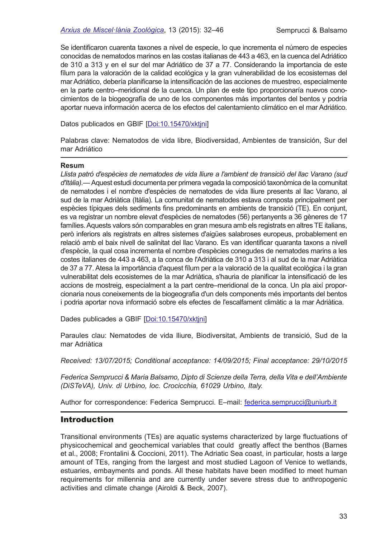Se identifcaron cuarenta taxones a nivel de especie, lo que incrementa el número de especies conocidas de nematodos marinos en las costas italianas de 443 a 463, en la cuenca del Adriático de 310 a 313 y en el sur del mar Adriático de 37 a 77. Considerando la importancia de este fílum para la valoración de la calidad ecológica y la gran vulnerabilidad de los ecosistemas del mar Adriático, debería planifcarse la intensifcación de las acciones de muestreo, especialmente en la parte centro–meridional de la cuenca. Un plan de este tipo proporcionaría nuevos conocimientos de la biogeografía de uno de los componentes más importantes del bentos y podría aportar nueva información acerca de los efectos del calentamiento climático en el mar Adriático.

Datos publicados en GBIF [D[oi:10.15470/xktjni](http://www.gbif.es/ipt/resource?r=semprucci_nematode)]

Palabras clave: Nematodos de vida libre, Biodiversidad, Ambientes de transición, Sur del mar Adriático

## **Resum**

*Llista patró d'espècies de nematodes de vida lliure a l'ambient de transició del llac Varano (sud d'Itàlia).—* Aquest estudi documenta per primera vegada la composició taxonòmica de la comunitat de nematodes i el nombre d'espècies de nematodes de vida lliure presents al llac Varano, al sud de la mar Adriàtica (Itàlia). La comunitat de nematodes estava composta principalment per espècies típiques dels sediments fns predominants en ambients de transició (TE). En conjunt, es va registrar un nombre elevat d'espècies de nematodes (56) pertanyents a 36 gèneres de 17 famílies. Aquests valors són comparables en gran mesura amb els registrats en altres TE italians, però inferiors als registrats en altres sistemes d'aigües salabroses europeus, probablement en relació amb el baix nivell de salinitat del llac Varano. Es van identificar quaranta taxons a nivell d'espècie, la qual cosa incrementa el nombre d'espècies conegudes de nematodes marins a les costes italianes de 443 a 463, a la conca de l'Adriàtica de 310 a 313 i al sud de la mar Adriàtica de 37 a 77. Atesa la importància d'aquest fílum per a la valoració de la qualitat ecològica i la gran vulnerabilitat dels ecosistemes de la mar Adriàtica, s'hauria de planifcar la intensifcació de les accions de mostreig, especialment a la part centre–meridional de la conca. Un pla així proporcionaria nous coneixements de la biogeografa d'un dels components més importants del bentos i podria aportar nova informació sobre els efectes de l'escalfament climàtic a la mar Adriàtica.

Dades publicades a GBIF [D[oi:10.15470/xktjni](http://www.gbif.es/ipt/resource?r=semprucci_nematode)]

Paraules clau: Nematodes de vida lliure, Biodiversitat, Ambients de transició, Sud de la mar Adriàtica

*Received: 13/07/2015; Conditional acceptance: 14/09/2015; Final acceptance: 29/10/2015*

*Federica Semprucci & Maria Balsamo, Dipto di Scienze della Terra, della Vita e dell'Ambiente (DiSTeVA), Univ. di Urbino, loc. Crocicchia, 61029 Urbino, Italy.*

Author for correspondence: Federica Semprucci. E–mail: [federica.semprucci@uniurb.it](mailto:federica.semprucci@uniurb.it)

## Introduction

Transitional environments (TEs) are aquatic systems characterized by large fuctuations of physicochemical and geochemical variables that could greatly affect the benthos (Barnes et al., 2008; Frontalini & Coccioni, 2011). The Adriatic Sea coast, in particular, hosts a large amount of TEs, ranging from the largest and most studied Lagoon of Venice to wetlands, estuaries, embayments and ponds. All these habitats have been modifed to meet human requirements for millennia and are currently under severe stress due to anthropogenic activities and climate change (Airoldi & Beck, 2007).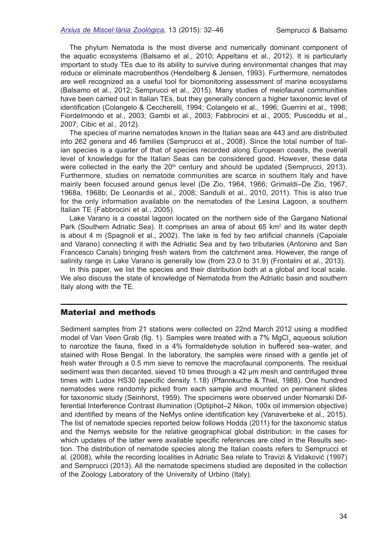The phylum Nematoda is the most diverse and numerically dominant component of the aquatic ecosystems (Balsamo et al., 2010; Appeltans et al., 2012). It is particularly important to study TEs due to its ability to survive during environmental changes that may reduce or eliminate macrobenthos (Hendelberg & Jensen, 1993). Furthermore, nematodes are well recognized as a useful tool for biomonitoring assessment of marine ecosystems (Balsamo et al., 2012; Semprucci et al., 2015). Many studies of meiofaunal communities have been carried out in Italian TEs, but they generally concern a higher taxonomic level of identifcation (Colangelo & Ceccherelli, 1994; Colangelo et al., 1996; Guerrini et al., 1998; Fiordelmondo et al., 2003; Gambi et al., 2003; Fabbrocini et al., 2005; Pusceddu et al., 2007; Cibic et al., 2012).

The species of marine nematodes known in the Italian seas are 443 and are distributed into 262 genera and 46 families (Semprucci et al., 2008). Since the total number of Italian species is a quarter of that of species recorded along European coasts, the overall level of knowledge for the Italian Seas can be considered good. However, these data were collected in the early the  $20<sup>th</sup>$  century and should be updated (Semprucci, 2013). Furthermore, studies on nematode communities are scarce in southern Italy and have mainly been focused around genus level (De Zio, 1964, 1966; Grimaldi–De Zio, 1967, 1968a, 1968b; De Leonardis et al., 2008; Sandulli et al., 2010, 2011). This is also true for the only information available on the nematodes of the Lesina Lagoon, a southern Italian TE (Fabbrocini et al., 2005).

Lake Varano is a coastal lagoon located on the northern side of the Gargano National Park (Southern Adriatic Sea). It comprises an area of about 65 km<sup>2</sup> and its water depth is about 4 m (Spagnoli et al., 2002). The lake is fed by two artifcial channels (Capoiale and Varano) connecting it with the Adriatic Sea and by two tributaries (Antonino and San Francesco Canals) bringing fresh waters from the catchment area. However, the range of salinity range in Lake Varano is generally low (from 23.0 to 31.9) (Frontalini et al., 2013).

In this paper, we list the species and their distribution both at a global and local scale. We also discuss the state of knowledge of Nematoda from the Adriatic basin and southern Italy along with the TE.

#### Material and methods

Sediment samples from 21 stations were collected on 22nd March 2012 using a modifed model of Van Veen Grab (fig. 1). Samples were treated with a 7% MgCl<sub>2</sub> aqueous solution to narcotize the fauna, fxed in a 4% formaldehyde solution in buffered sea–water, and stained with Rose Bengal. In the laboratory, the samples were rinsed with a gentle jet of fresh water through a 0.5 mm sieve to remove the macrofaunal components. The residual sediment was then decanted, sieved 10 times through a 42 μm mesh and centrifuged three times with Ludox HS30 (specifc density 1.18) (Pfannkuche & Thiel, 1988). One hundred nematodes were randomly picked from each sample and mounted on permanent slides for taxonomic study (Seinhorst, 1959). The specimens were observed under Nomarski Differential Interference Contrast illumination (Optiphot–2 Nikon, 100x oil immersion objective) and identifed by means of the NeMys online identifcation key (Vanaverbeke et al., 2015). The list of nematode species reported below follows Hodda (2011) for the taxonomic status and the Nemys website for the relative geographical global distribution: in the cases for which updates of the latter were available specific references are cited in the Results section. The distribution of nematode species along the Italian coasts refers to Semprucci et al. (2008), while the recording localities in Adriatic Sea relate to Travizi & Vidaković (1997) and Semprucci (2013). All the nematode specimens studied are deposited in the collection of the Zoology Laboratory of the University of Urbino (Italy).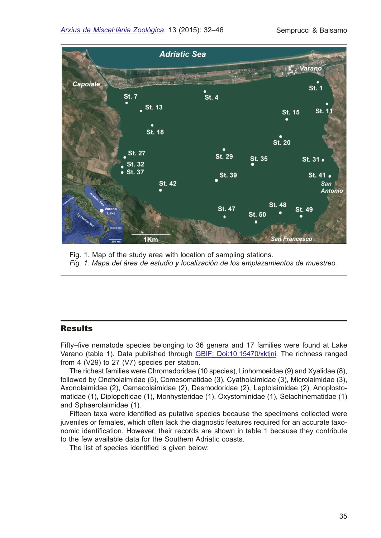

Fig. 1. Map of the study area with location of sampling stations. *Fig. 1. Mapa del área de estudio y localización de los emplazamientos de muestreo.*

## **Results**

Fifty–fve nematode species belonging to 36 genera and 17 families were found at Lake Varano (table 1). Data published through [GBIF](http://www.gbif.org/): D[oi:10.15470/xktjni](http://www.gbif.es/ipt/resource?r=semprucci_nematode). The richness ranged from 4 (V29) to 27 (V7) species per station.

The richest families were Chromadoridae (10 species), Linhomoeidae (9) and Xyalidae (8), followed by Oncholaimidae (5), Comesomatidae (3), Cyatholaimidae (3), Microlaimidae (3), Axonolaimidae (2), Camacolaimidae (2), Desmodoridae (2), Leptolaimidae (2), Anoplostomatidae (1), Diplopeltidae (1), Monhysteridae (1), Oxystominidae (1), Selachinematidae (1) and Sphaerolaimidae (1).

Fifteen taxa were identifed as putative species because the specimens collected were juveniles or females, which often lack the diagnostic features required for an accurate taxonomic identifcation. However, their records are shown in table 1 because they contribute to the few available data for the Southern Adriatic coasts.

The list of species identifed is given below: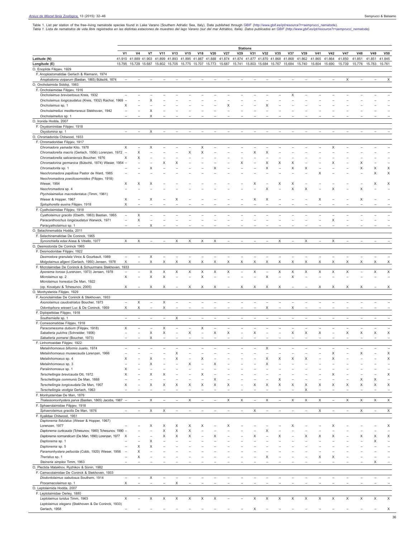Table 1. List per station of the free–living nematode species found in Lake Varano (Southern Adriatic Sea, Italy). Data published through [GBIF](http://www.gbif.org/) ([http://www.gbif.es/ipt/resource?r=semprucci\\_nematode\)](http://www.gbif.es/ipt/resource?r=semprucci_nematode). Tabla 1. Lista de nematodos de vida libre registrados en las distintas estaciones de muestreo del lago Varano (sur del mar Adriático, Italia). Datos publicados en [GBIF](http://www.gbif.org/) ([http://www.gbif.es/ipt/resource?r=semprucci\\_nematode](http://www.gbif.es/ipt/resource?r=semprucci_nematode))

|                                                                                                                                      |                                 |                                        |                           |                                  |                          |                             |                           |                           |                      | <b>Stations</b>                         |                          |                          |                          |                           |                      |                          |                           |                          |                      |                          |                                  |
|--------------------------------------------------------------------------------------------------------------------------------------|---------------------------------|----------------------------------------|---------------------------|----------------------------------|--------------------------|-----------------------------|---------------------------|---------------------------|----------------------|-----------------------------------------|--------------------------|--------------------------|--------------------------|---------------------------|----------------------|--------------------------|---------------------------|--------------------------|----------------------|--------------------------|----------------------------------|
| Latitude (N)                                                                                                                         | V <sub>1</sub>                  | V <sub>4</sub><br>41.910 41.889 41.903 | V <sub>7</sub>            | V <sub>11</sub><br>41.899 41.893 | <b>V13</b>               | V15<br>41.895 41.887 41.888 | <b>V18</b>                | V <sub>20</sub>           | <b>V27</b><br>41.874 | V <sub>29</sub><br>41.874 41.877 41.870 | V <sub>31</sub>          | V32                      | V35<br>41.868            | <b>V37</b><br>41.868      | <b>V39</b><br>41.862 | <b>V41</b><br>41.865     | V <sub>42</sub><br>41.864 | <b>V47</b><br>41.850     | <b>V48</b><br>41.851 | <b>V49</b>               | V <sub>50</sub><br>41.851 41.845 |
| Longitude (E)                                                                                                                        | 15.795                          | 15.729 15.687                          |                           | 15.802 15.705                    |                          | 15.775 15.707 15.773        |                           |                           | 15.687               | 15.741 15.803 15.684 15.767             |                          |                          |                          | 15.684                    | 15.740               | 15.804                   | 15.690                    | 15.739                   | 15.776               | 15.783 15.761            |                                  |
| O. Enoplida Filipjev, 1929                                                                                                           |                                 |                                        |                           |                                  |                          |                             |                           |                           |                      |                                         |                          |                          |                          |                           |                      |                          |                           |                          |                      |                          |                                  |
| F. Anoplostomatidae Gerlach & Riemann, 1974<br>Anoplostoma viviparum (Bastian, 1865) Bütschli, 1874<br>O. Oncholaimida Siddiqi, 1983 |                                 |                                        |                           |                                  |                          |                             |                           |                           |                      |                                         |                          |                          |                          |                           |                      |                          |                           | X                        |                      |                          | X                                |
| F. Oncholaimidae Filipjev, 1916                                                                                                      |                                 |                                        |                           |                                  |                          |                             |                           |                           |                      |                                         |                          |                          |                          |                           |                      |                          |                           |                          |                      |                          |                                  |
| Oncholaimus brevisetosus Kreis, 1932                                                                                                 |                                 |                                        |                           |                                  |                          |                             |                           |                           |                      |                                         |                          |                          |                          |                           |                      |                          |                           |                          |                      |                          |                                  |
| Oncholaimus longicaudatus (Kreis, 1932) Rachor, 1969 -                                                                               |                                 |                                        |                           |                                  |                          |                             |                           |                           |                      |                                         |                          |                          |                          |                           |                      |                          |                           |                          |                      |                          |                                  |
| Oncholaimus sp. 1<br>Oncholaimellus mediterraneus Stekhoven, 1942                                                                    | X                               |                                        |                           |                                  |                          |                             |                           |                           |                      |                                         |                          |                          |                          |                           |                      |                          |                           |                          |                      |                          |                                  |
| Oncholaimellus sp. 1<br>O. Ironida Hodda, 2007                                                                                       |                                 |                                        | X                         |                                  |                          |                             |                           |                           |                      |                                         |                          |                          |                          |                           |                      |                          |                           |                          |                      |                          |                                  |
| F. Oxystominidae Filipjev, 1918                                                                                                      |                                 |                                        |                           |                                  |                          |                             |                           |                           |                      |                                         |                          |                          |                          |                           |                      |                          |                           |                          |                      |                          |                                  |
| Oxystomina sp. 1<br>O. Chromadorida Chitwood, 1933                                                                                   | $\overline{\phantom{0}}$        | $\overline{\phantom{m}}$               | X                         | $\overline{\phantom{0}}$         |                          |                             |                           |                           |                      |                                         |                          |                          |                          |                           |                      |                          |                           |                          |                      |                          |                                  |
| F. Chromadoridae Filipjev, 1917                                                                                                      |                                 |                                        |                           |                                  |                          |                             |                           |                           |                      |                                         |                          |                          |                          |                           |                      |                          |                           |                          |                      |                          |                                  |
| Chromadora yamadai Kito, 1978                                                                                                        | $\times$                        |                                        | X                         |                                  |                          |                             | X                         |                           |                      |                                         |                          |                          |                          |                           |                      |                          |                           |                          |                      |                          |                                  |
| Chromadorella macris (Gerlach, 1956) Lorenzen, 1972 -                                                                                |                                 | X                                      |                           |                                  |                          | X                           | X                         |                           |                      |                                         |                          | $\times$                 |                          |                           |                      |                          |                           |                          |                      |                          |                                  |
| Chromadorella salicaniensis Boucher, 1976<br>Chromadorina germanica (Bütschli, 1874) Wieser, 1954 -                                  | X                               | X                                      |                           | X                                | X                        |                             |                           |                           |                      | X                                       |                          | $\mathsf X$              | $\times$                 | X                         |                      |                          | X                         |                          | X                    |                          |                                  |
| Chromadorita sp. 1                                                                                                                   |                                 |                                        |                           |                                  |                          |                             |                           |                           |                      |                                         |                          | $\times$                 |                          | X                         | $\times$             |                          |                           |                          | X                    | $\times$                 | $\times$                         |
| Neochromadora papillosa Pastor de Ward, 1985                                                                                         |                                 |                                        |                           |                                  |                          |                             |                           |                           |                      |                                         |                          |                          |                          |                           |                      |                          |                           |                          |                      | $\times$                 | $\times$                         |
| Neochromadora poecilosomoides (Filipjev, 1918)                                                                                       |                                 |                                        |                           |                                  |                          |                             |                           |                           |                      |                                         |                          |                          |                          |                           |                      |                          |                           |                          |                      |                          |                                  |
| Wieser, 1954<br>Neochromadora sp. 4                                                                                                  | $\times$                        | X                                      | X                         |                                  |                          |                             |                           |                           |                      |                                         |                          | X                        |                          | X<br>X                    | X                    |                          |                           |                          | $\times$             | $\times$                 | $\times$                         |
| Ptycholaimellus macrodentatus (Timm, 1961)                                                                                           |                                 |                                        |                           |                                  |                          |                             |                           |                           |                      |                                         |                          |                          |                          |                           |                      |                          |                           |                          |                      |                          |                                  |
| Wieser & Hopper, 1967                                                                                                                | $\times$                        |                                        | X                         |                                  |                          |                             |                           |                           |                      |                                         |                          |                          |                          |                           |                      |                          |                           |                          |                      |                          |                                  |
| Spilophorella euxina Filipjev, 1918<br>F. Cyatholaimidae Filipjev, 1918                                                              | X                               |                                        |                           |                                  |                          |                             |                           |                           |                      |                                         |                          |                          |                          |                           |                      |                          |                           |                          |                      |                          |                                  |
| Cyatholaimus gracilis (Eberth, 1863) Bastian, 1865                                                                                   |                                 |                                        |                           |                                  |                          |                             |                           |                           |                      |                                         |                          |                          |                          |                           |                      |                          |                           |                          |                      |                          |                                  |
| Paracanthonchus longicaudatus Warwick, 1971                                                                                          |                                 |                                        |                           |                                  |                          |                             |                           |                           |                      |                                         |                          |                          |                          |                           |                      |                          |                           |                          |                      |                          |                                  |
| Paracyatholaimus sp. 1                                                                                                               |                                 |                                        |                           |                                  |                          |                             |                           |                           |                      |                                         |                          |                          |                          |                           |                      |                          |                           |                          |                      |                          |                                  |
| O. Selachinematida Hodda, 2011<br>F. Selachinematidae De Coninck, 1965                                                               |                                 |                                        |                           |                                  |                          |                             |                           |                           |                      |                                         |                          |                          |                          |                           |                      |                          |                           |                          |                      |                          |                                  |
| Synonchiella edax Aissa & Vitiello, 1977                                                                                             | $\times$                        | X                                      | $-$                       | $\overline{\phantom{m}}$         | X                        | X                           | $\times$                  | X                         | $\qquad \qquad -$    | $\overline{\phantom{0}}$                | $\qquad \qquad \qquad$   |                          | X                        | $\overline{\phantom{m}}$  | X                    | $\overline{\phantom{m}}$ | X                         | $\overline{\phantom{m}}$ |                      |                          |                                  |
| O. Desmodorida De Coninck 1965                                                                                                       |                                 |                                        |                           |                                  |                          |                             |                           |                           |                      |                                         |                          |                          |                          |                           |                      |                          |                           |                          |                      |                          |                                  |
| F. Desmodoridae Filipjev, 1922                                                                                                       |                                 |                                        |                           |                                  |                          |                             |                           |                           |                      |                                         |                          |                          |                          |                           |                      |                          |                           |                          |                      |                          |                                  |
| Desmodora granulata Vincx & Gourbault, 1989<br>Molgolaimus allgeni (Gerlach, 1950) Jensen, 1978                                      | $\times$                        |                                        | X<br>X                    | X                                | X                        | $\times$                    | X                         | Χ                         | Χ                    | Х                                       | X                        | X                        | X                        | Χ                         | X                    | Χ                        | X                         | X                        | Χ                    | X                        | X                                |
| F. Microlaimidae De Coninck & Schuurmans Stekhoven, 1933                                                                             |                                 |                                        |                           |                                  |                          |                             |                           |                           |                      |                                         |                          |                          |                          |                           |                      |                          |                           |                          |                      |                          |                                  |
| Aponema torosa (Lorenzen, 1973) Jensen, 1978                                                                                         |                                 |                                        | X                         | $\boldsymbol{\mathsf{X}}$        | $\times$                 | X                           | X                         | $\boldsymbol{\mathsf{X}}$ | $\mathsf X$          |                                         | $\times$                 | $\qquad \qquad -$        | X                        | $\boldsymbol{\mathsf{X}}$ | $\sf X$              | $\times$                 | $\times$                  | $\times$                 |                      | X                        | $\times$                         |
| Microlaimus sp. 2<br>Microlaimus honestus De Man, 1922                                                                               | $\chi$                          |                                        | $\mathsf X$               | $\boldsymbol{\mathsf{X}}$        |                          |                             | X                         |                           |                      |                                         |                          | X                        |                          | X                         |                      |                          |                           |                          |                      |                          |                                  |
| (op. Kovalyev & Tchesunov, 2005)                                                                                                     | $\times$                        |                                        | X                         | X                                |                          | X                           | X                         | X                         |                      | X                                       | X                        | X                        | X                        |                           |                      | X                        | X                         | X                        | X                    |                          | X                                |
| O. Monhysterida Filipjev, 1929                                                                                                       |                                 |                                        |                           |                                  |                          |                             |                           |                           |                      |                                         |                          |                          |                          |                           |                      |                          |                           |                          |                      |                          |                                  |
| F. Axonolaimidae De Coninck & Stekhoven, 1933                                                                                        |                                 |                                        |                           |                                  |                          |                             |                           |                           |                      |                                         |                          |                          |                          |                           |                      |                          |                           |                          |                      |                          |                                  |
| Axonolaimus caudostriatus Boucher, 1973<br>Odontophora wieseri Luc & De Coninck, 1959                                                | $\mathsf{X}$                    | X<br>$\mathsf{X}$                      | $\overline{\phantom{a}}$  | $\mathsf X$                      |                          |                             |                           |                           |                      |                                         |                          | X                        |                          | X                         |                      |                          |                           |                          |                      |                          |                                  |
| F. Diplopeltidae Filipjev, 1918                                                                                                      |                                 |                                        |                           |                                  |                          |                             |                           |                           |                      |                                         |                          |                          |                          |                           |                      |                          |                           |                          |                      |                          |                                  |
| Southerniella sp. 1                                                                                                                  |                                 |                                        |                           |                                  | X                        |                             |                           |                           |                      |                                         |                          |                          |                          |                           |                      |                          |                           |                          |                      |                          |                                  |
| F. Comesomatidae Filipjev, 1918<br>Paracomesoma dubium (Filipjev, 1918)                                                              | X                               |                                        |                           | X                                |                          |                             | X                         |                           |                      |                                         |                          |                          |                          |                           |                      |                          |                           |                          |                      |                          |                                  |
| Sabatieria pulchra (Schneider, 1906)                                                                                                 |                                 |                                        |                           | X                                |                          | X                           | $\overline{\phantom{0}}$  | Χ                         | X                    |                                         | Χ                        |                          |                          | Χ                         | X                    | Χ                        |                           | X                        | X                    | X                        | X                                |
| Sabatieria pomarei (Boucher, 1973)                                                                                                   |                                 |                                        |                           |                                  |                          |                             |                           |                           |                      |                                         |                          |                          |                          |                           |                      |                          |                           |                          |                      |                          |                                  |
| F. Linhomoeidae Filipjev, 1922<br>Metalinhomoeus biformis Juario, 1974                                                               |                                 |                                        |                           |                                  |                          |                             |                           |                           |                      |                                         |                          |                          |                          |                           |                      |                          |                           |                          |                      |                          |                                  |
| Metalinhomoeus musaecauda Lorenzen, 1966                                                                                             |                                 |                                        |                           |                                  |                          |                             |                           |                           |                      |                                         |                          | X                        |                          |                           |                      |                          |                           |                          | X                    |                          | $\times$                         |
| Metalinhomoeus sp. 4                                                                                                                 | X                               |                                        | X                         |                                  | X                        |                             | $\boldsymbol{\mathsf{X}}$ |                           |                      |                                         |                          | X                        | X                        | X                         | X                    |                          |                           |                          |                      |                          | $\times$                         |
| Metalinhomoeus sp. 3                                                                                                                 |                                 |                                        | $\boldsymbol{\mathsf{X}}$ | $\overline{\phantom{0}}$         |                          | X                           | $\overline{\phantom{m}}$  | X                         |                      |                                         |                          | X                        |                          |                           |                      |                          |                           |                          |                      |                          |                                  |
| Paralinhomoeus sp. 1<br>Terschellingia brevicauda Ott, 1972                                                                          | $\times$<br>X                   |                                        |                           | X                                |                          |                             |                           |                           |                      |                                         |                          |                          |                          |                           |                      |                          |                           |                          |                      |                          | X                                |
| Terschellingia communis De Man, 1888                                                                                                 |                                 |                                        | $\qquad \qquad -$         |                                  |                          |                             |                           |                           |                      |                                         |                          |                          |                          |                           |                      |                          |                           |                          | X                    |                          |                                  |
| Terschellingia longicaudata De Man, 1907                                                                                             | X                               |                                        | X                         | X                                | X                        | X                           | X                         | Χ                         | X                    |                                         | X                        | X                        | X                        | X                         | X                    | X                        |                           | X                        | X                    | $\mathsf X$              | X                                |
| Terschellingia vestigia Gerlach, 1963                                                                                                |                                 |                                        |                           |                                  |                          |                             |                           |                           |                      |                                         |                          |                          |                          |                           | Χ                    |                          |                           |                          |                      |                          |                                  |
| F. Monhysteridae De Man, 1876<br>Thalassomonhystera parva (Bastian, 1865) Jacobs, 1987 -                                             |                                 |                                        | $\boldsymbol{\mathsf{X}}$ |                                  |                          | X                           | $\overline{\phantom{m}}$  |                           | $\sf X$              | $\mathsf X$                             | $\overline{\phantom{0}}$ | $\sf X$                  | $\overline{\phantom{m}}$ | $\mathsf X$               | $\mathsf{X}$         | X                        | $\overline{\phantom{m}}$  | $\mathsf{X}$             | X                    | X                        | $\times$                         |
| F. Sphaerolaimidae Filipjev, 1918                                                                                                    |                                 |                                        |                           |                                  |                          |                             |                           |                           |                      |                                         |                          |                          |                          |                           |                      |                          |                           |                          |                      |                          |                                  |
| Sphaerolaimus gracilis De Man, 1876                                                                                                  |                                 |                                        | $\mathsf X$               | X                                | $\overline{\phantom{m}}$ |                             |                           |                           |                      | $\overline{\phantom{0}}$                | $\mathsf{X}$             | $\overline{\phantom{0}}$ |                          |                           |                      | X                        |                           | $-$                      | X                    | $\overline{\phantom{0}}$ | X.                               |
| F. Xyalidae Chitwood, 1951                                                                                                           |                                 |                                        |                           |                                  |                          |                             |                           |                           |                      |                                         |                          |                          |                          |                           |                      |                          |                           |                          |                      |                          |                                  |
| Daptonema fistulatus (Wieser & Hopper, 1967)<br>Lorenzen, 1977                                                                       |                                 |                                        | $\times$                  | X                                | X                        | X                           | X                         |                           | х                    |                                         |                          |                          |                          |                           |                      |                          |                           |                          |                      |                          | X                                |
| Daptonema curticauda (Tchesunov, 1980) Tchesunov, 1990 -                                                                             |                                 |                                        |                           | X                                | $\mathsf X$              | $\mathsf{X}$                |                           |                           |                      |                                         |                          | X                        |                          |                           |                      |                          |                           |                          |                      |                          |                                  |
| Daptonema normandicum (De Man, 1890) Lorenzen, 1977 X                                                                                |                                 |                                        |                           | X                                | X                        | $\sf X$                     | $\overline{\phantom{0}}$  | X                         |                      |                                         | $\times$                 |                          | X                        |                           | $\sf X$              | X                        | $\times$                  |                          | X                    | X                        | $\times$                         |
| Daptonema sp. 1<br>Daptonema sp. 5                                                                                                   |                                 |                                        | X                         |                                  |                          |                             |                           |                           |                      |                                         |                          |                          |                          |                           |                      |                          |                           |                          |                      | Χ                        |                                  |
| Paramonhystera pellucida (Cobb, 1920) Wieser, 1956                                                                                   | $\hspace{0.1mm}-\hspace{0.1mm}$ |                                        |                           |                                  |                          |                             |                           |                           |                      |                                         |                          |                          |                          |                           |                      |                          |                           |                          |                      |                          |                                  |
| Theristus sp. 1                                                                                                                      |                                 |                                        |                           |                                  |                          |                             |                           |                           |                      |                                         |                          | X                        |                          |                           |                      | X                        |                           |                          |                      |                          |                                  |
| Steineria simplex Timm, 1963                                                                                                         |                                 |                                        |                           |                                  |                          |                             |                           |                           |                      |                                         |                          |                          |                          |                           |                      |                          |                           |                          |                      | X.                       |                                  |
| O. Plectida Malakhov, Ryzhikov & Sonin, 1982<br>F. Camacolaimidae De Coninck & Stekhoven, 1933                                       |                                 |                                        |                           |                                  |                          |                             |                           |                           |                      |                                         |                          |                          |                          |                           |                      |                          |                           |                          |                      |                          |                                  |
| Diodontolaimus sabulosus Southern, 1914                                                                                              |                                 |                                        | Χ                         |                                  |                          |                             |                           |                           |                      |                                         |                          |                          |                          |                           |                      |                          |                           |                          |                      |                          |                                  |
| Procamacolaimus sp. 1                                                                                                                | X                               |                                        |                           |                                  |                          |                             |                           |                           |                      |                                         |                          |                          |                          |                           |                      |                          |                           |                          |                      |                          |                                  |
| O. Leptolaimida Hodda, 2007                                                                                                          |                                 |                                        |                           |                                  |                          |                             |                           |                           |                      |                                         |                          |                          |                          |                           |                      |                          |                           |                          |                      |                          |                                  |
| F. Leptolaimidae Oerley, 1880<br>Leptolaimus luridus Timm, 1963                                                                      | $\mathsf{X}$                    |                                        | X                         | X                                | $\times$                 | $\mathsf{X}$                | X                         | X                         |                      |                                         | $\times$                 | $\mathsf{X}$             | X                        | $\mathsf X$               | $\mathsf X$          | $\mathsf X$              | X                         | $\mathsf{X}$             | $\chi$               | $\times$                 | $\sf{X}$                         |
| Leptolaimus elegans (Stekhoven & De Coninck, 1933)                                                                                   |                                 |                                        |                           |                                  |                          |                             |                           |                           |                      |                                         |                          |                          |                          |                           |                      |                          |                           |                          |                      |                          |                                  |
| Gerlach, 1958                                                                                                                        |                                 |                                        |                           |                                  |                          |                             |                           |                           |                      |                                         |                          |                          |                          |                           |                      |                          |                           |                          |                      |                          |                                  |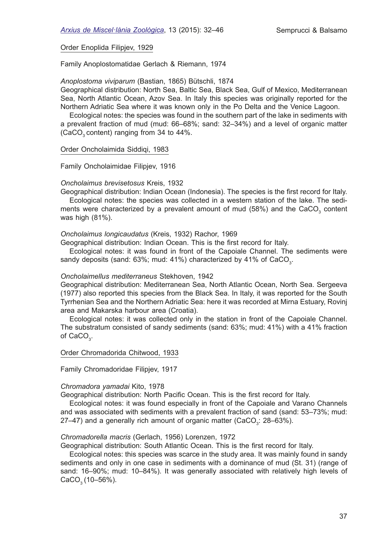## Order Enoplida Filipjev, 1929

## Family Anoplostomatidae Gerlach & Riemann, 1974

#### *Anoplostoma viviparum* (Bastian, 1865) Bütschli, 1874

Geographical distribution: North Sea, Baltic Sea, Black Sea, Gulf of Mexico, Mediterranean Sea, North Atlantic Ocean, Azov Sea. In Italy this species was originally reported for the Northern Adriatic Sea where it was known only in the Po Delta and the Venice Lagoon.

Ecological notes: the species was found in the southern part of the lake in sediments with a prevalent fraction of mud (mud: 66–68%; sand: 32–34%) and a level of organic matter (CaCO<sub>3</sub> content) ranging from  $34$  to  $44\%$ .

#### Order Oncholaimida Siddiqi, 1983

Family Oncholaimidae Filipjev, 1916

## *Oncholaimus brevisetosus* Kreis, 1932

Geographical distribution: Indian Ocean (Indonesia). The species is the frst record for Italy.

Ecological notes: the species was collected in a western station of the lake. The sediments were characterized by a prevalent amount of mud (58%) and the CaCO<sub>3</sub> content was high (81%).

## *Oncholaimus longicaudatus* (Kreis, 1932) Rachor, 1969

Geographical distribution: Indian Ocean. This is the frst record for Italy.

Ecological notes: it was found in front of the Capoiale Channel. The sediments were sandy deposits (sand: 63%; mud: 41%) characterized by 41% of CaCO $_{\textrm{\tiny S}}$ .

#### *Oncholaimellus mediterraneus* Stekhoven, 1942

Geographical distribution: Mediterranean Sea, North Atlantic Ocean, North Sea. Sergeeva (1977) also reported this species from the Black Sea. In Italy, it was reported for the South Tyrrhenian Sea and the Northern Adriatic Sea: here it was recorded at Mirna Estuary, Rovinj area and Makarska harbour area (Croatia).

Ecological notes: it was collected only in the station in front of the Capoiale Channel. The substratum consisted of sandy sediments (sand: 63%; mud: 41%) with a 41% fraction of CaCO $_{\scriptscriptstyle 3}$ .

#### Order Chromadorida Chitwood, 1933

Family Chromadoridae Filipjev, 1917

#### *Chromadora yamadai* Kito, 1978

Geographical distribution: North Pacifc Ocean. This is the frst record for Italy.

Ecological notes: it was found especially in front of the Capoiale and Varano Channels and was associated with sediments with a prevalent fraction of sand (sand: 53–73%; mud: 27–47) and a generally rich amount of organic matter (CaCO $_3$ : 28–63%).

## *Chromadorella macris* (Gerlach, 1956) Lorenzen, 1972

Geographical distribution: South Atlantic Ocean. This is the first record for Italy.

Ecological notes: this species was scarce in the study area. It was mainly found in sandy sediments and only in one case in sediments with a dominance of mud (St. 31) (range of sand: 16–90%; mud: 10–84%). It was generally associated with relatively high levels of  $CaCO<sub>3</sub>$  (10–56%).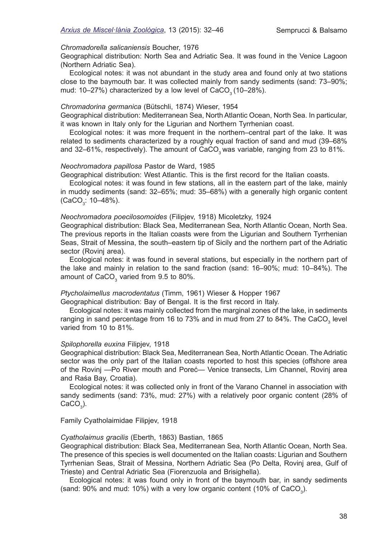### *Chromadorella salicaniensis* Boucher, 1976

Geographical distribution: North Sea and Adriatic Sea. It was found in the Venice Lagoon (Northern Adriatic Sea).

Ecological notes: it was not abundant in the study area and found only at two stations close to the baymouth bar. It was collected mainly from sandy sediments (sand: 73–90%; mud:  $10-27%$ ) characterized by a low level of CaCO<sub>3</sub> (10–28%).

#### *Chromadorina germanica* (Bütschli, 1874) Wieser, 1954

Geographical distribution: Mediterranean Sea, North Atlantic Ocean, North Sea. In particular, it was known in Italy only for the Ligurian and Northern Tyrrhenian coast.

Ecological notes: it was more frequent in the northern–central part of the lake. It was related to sediments characterized by a roughly equal fraction of sand and mud (39–68% and  $32-61\%$ , respectively). The amount of CaCO<sub>3</sub> was variable, ranging from 23 to 81%.

#### *Neochromadora papillosa* Pastor de Ward, 1985

Geographical distribution: West Atlantic. This is the frst record for the Italian coasts.

Ecological notes: it was found in few stations, all in the eastern part of the lake, mainly in muddy sediments (sand: 32–65%; mud: 35–68%) with a generally high organic content (CaCO<sub>3</sub>: 10–48%).

#### *Neochromadora poecilosomoides* (Filipjev, 1918) Micoletzky, 1924

Geographical distribution: Black Sea, Mediterranean Sea, North Atlantic Ocean, North Sea. The previous reports in the Italian coasts were from the Ligurian and Southern Tyrrhenian Seas, Strait of Messina, the south–eastern tip of Sicily and the northern part of the Adriatic sector (Rovinj area).

Ecological notes: it was found in several stations, but especially in the northern part of the lake and mainly in relation to the sand fraction (sand: 16–90%; mud: 10–84%). The amount of CaCO $_{_3}$  varied from 9.5 to 80%.

#### *Ptycholaimellus macrodentatus* (Timm, 1961) Wieser & Hopper 1967

Geographical distribution: Bay of Bengal. It is the frst record in Italy.

Ecological notes: it was mainly collected from the marginal zones of the lake, in sediments ranging in sand percentage from 16 to 73% and in mud from 27 to 84%. The CaCO<sub>3</sub> level varied from 10 to 81%.

#### *Spilophorella euxina* Filipjev, 1918

Geographical distribution: Black Sea, Mediterranean Sea, North Atlantic Ocean. The Adriatic sector was the only part of the Italian coasts reported to host this species (offshore area of the Rovinj —Po River mouth and Poreć— Venice transects, Lim Channel, Rovinj area and Raśa Bay, Croatia).

Ecological notes: it was collected only in front of the Varano Channel in association with sandy sediments (sand: 73%, mud: 27%) with a relatively poor organic content (28% of CaCO $_{3}$ ).

#### Family Cyatholaimidae Filipjev, 1918

## *Cyatholaimus gracilis* (Eberth, 1863) Bastian, 1865

Geographical distribution: Black Sea, Mediterranean Sea, North Atlantic Ocean, North Sea. The presence of this species is well documented on the Italian coasts: Ligurian and Southern Tyrrhenian Seas, Strait of Messina, Northern Adriatic Sea (Po Delta, Rovinj area, Gulf of Trieste) and Central Adriatic Sea (Fiorenzuola and Brisighella).

Ecological notes: it was found only in front of the baymouth bar, in sandy sediments (sand: 90% and mud: 10%) with a very low organic content (10% of CaCO $_3$ ).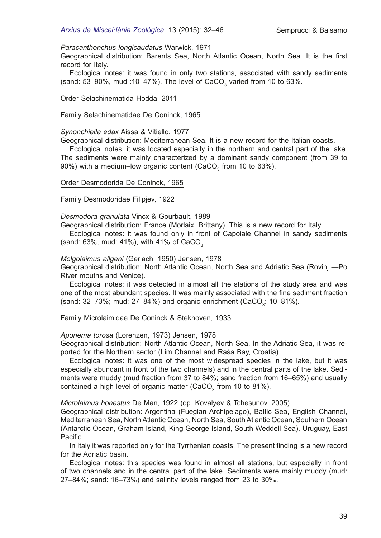*Paracanthonchus longicaudatus* Warwick, 1971

Geographical distribution: Barents Sea, North Atlantic Ocean, North Sea. It is the frst record for Italy.

Ecological notes: it was found in only two stations, associated with sandy sediments (sand: 53–90%, mud :10–47%). The level of CaCO $_{\tiny 3}$  varied from 10 to 63%.

Order Selachinematida Hodda, 2011

Family Selachinematidae De Coninck, 1965

#### *Synonchiella edax* Aissa & Vitiello, 1977

Geographical distribution: Mediterranean Sea. It is a new record for the Italian coasts.

Ecological notes: it was located especially in the northern and central part of the lake. The sediments were mainly characterized by a dominant sandy component (from 39 to 90%) with a medium–low organic content (CaCO $_{_3}$  from 10 to 63%).

Order Desmodorida De Coninck, 1965

Family Desmodoridae Filipjev, 1922

#### *Desmodora granulata* Vincx & Gourbault, 1989

Geographical distribution: France (Morlaix, Brittany). This is a new record for Italy.

Ecological notes: it was found only in front of Capoiale Channel in sandy sediments (sand: 63%, mud: 41%), with 41% of CaCO $_{\textrm{\tiny{3}}}$ .

*Molgolaimus allgeni* (Gerlach, 1950) Jensen, 1978

Geographical distribution: North Atlantic Ocean, North Sea and Adriatic Sea (Rovinj —Po River mouths and Venice).

Ecological notes: it was detected in almost all the stations of the study area and was one of the most abundant species. It was mainly associated with the fne sediment fraction (sand: 32–73%; mud: 27–84%) and organic enrichment (CaCO $_3$ : 10–81%).

Family Microlaimidae De Coninck & Stekhoven, 1933

#### *Aponema torosa* (Lorenzen, 1973) Jensen, 1978

Geographical distribution: North Atlantic Ocean, North Sea. In the Adriatic Sea, it was reported for the Northern sector (Lim Channel and Raśa Bay, Croatia).

Ecological notes: it was one of the most widespread species in the lake, but it was especially abundant in front of the two channels) and in the central parts of the lake. Sediments were muddy (mud fraction from 37 to 84%; sand fraction from 16–65%) and usually contained a high level of organic matter (CaCO<sub>3</sub> from 10 to 81%).

*Microlaimus honestus* De Man, 1922 (op. Kovalyev & Tchesunov, 2005)

Geographical distribution: Argentina (Fuegian Archipelago), Baltic Sea, English Channel, Mediterranean Sea, North Atlantic Ocean, North Sea, South Atlantic Ocean, Southern Ocean (Antarctic Ocean, Graham Island, King George Island, South Weddell Sea), Uruguay, East Pacific.

In Italy it was reported only for the Tyrrhenian coasts. The present fnding is a new record for the Adriatic basin.

Ecological notes: this species was found in almost all stations, but especially in front of two channels and in the central part of the lake. Sediments were mainly muddy (mud: 27–84%; sand: 16–73%) and salinity levels ranged from 23 to 30‰.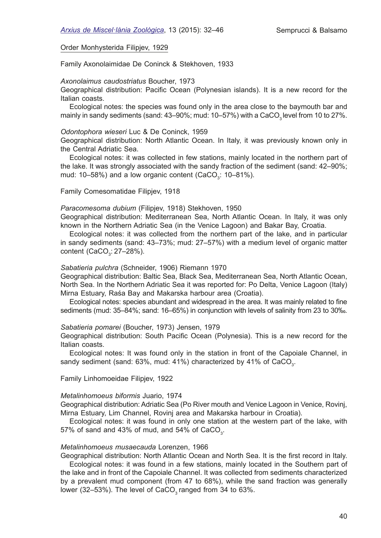#### Order Monhysterida Filipjev, 1929

Family Axonolaimidae De Coninck & Stekhoven, 1933

#### *Axonolaimus caudostriatus* Boucher, 1973

Geographical distribution: Pacifc Ocean (Polynesian islands). It is a new record for the Italian coasts.

Ecological notes: the species was found only in the area close to the baymouth bar and mainly in sandy sediments (sand: 43-90%; mud: 10-57%) with a CaCO<sub>3</sub> level from 10 to 27%.

## *Odontophora wieseri* Luc & De Coninck, 1959

Geographical distribution: North Atlantic Ocean. In Italy, it was previously known only in the Central Adriatic Sea.

Ecological notes: it was collected in few stations, mainly located in the northern part of the lake. It was strongly associated with the sandy fraction of the sediment (sand: 42–90%; mud: 10–58%) and a low organic content (CaCO $_3$ : 10–81%).

Family Comesomatidae Filipjev, 1918

#### *Paracomesoma dubium* (Filipjev, 1918) Stekhoven, 1950

Geographical distribution: Mediterranean Sea, North Atlantic Ocean. In Italy, it was only known in the Northern Adriatic Sea (in the Venice Lagoon) and Bakar Bay, Croatia.

Ecological notes: it was collected from the northern part of the lake, and in particular in sandy sediments (sand: 43–73%; mud: 27–57%) with a medium level of organic matter content (CaCO<sub>3</sub>: 27–28%).

#### *Sabatieria pulchra* (Schneider, 1906) Riemann 1970

Geographical distribution: Baltic Sea, Black Sea, Mediterranean Sea, North Atlantic Ocean, North Sea. In the Northern Adriatic Sea it was reported for: Po Delta, Venice Lagoon (Italy) Mirna Estuary, Raśa Bay and Makarska harbour area (Croatia).

Ecological notes: species abundant and widespread in the area. It was mainly related to fne sediments (mud: 35–84%; sand: 16–65%) in conjunction with levels of salinity from 23 to 30‰.

#### *Sabatieria pomarei* (Boucher, 1973) Jensen, 1979

Geographical distribution: South Pacifc Ocean (Polynesia). This is a new record for the Italian coasts.

Ecological notes: It was found only in the station in front of the Capoiale Channel, in sandy sediment (sand: 63%, mud: 41%) characterized by 41% of CaCO $_{\textrm{\tiny{3}}}$ .

Family Linhomoeidae Filipjev, 1922

#### *Metalinhomoeus biformis* Juario, 1974

Geographical distribution: Adriatic Sea (Po River mouth and Venice Lagoon in Venice, Rovinj, Mirna Estuary, Lim Channel, Rovinj area and Makarska harbour in Croatia).

Ecological notes: it was found in only one station at the western part of the lake, with 57% of sand and 43% of mud, and 54% of CaCO $_3$ .

#### *Metalinhomoeus musaecauda* Lorenzen, 1966

Geographical distribution: North Atlantic Ocean and North Sea. It is the frst record in Italy.

Ecological notes: it was found in a few stations, mainly located in the Southern part of the lake and in front of the Capoiale Channel. It was collected from sediments characterized by a prevalent mud component (from 47 to 68%), while the sand fraction was generally lower (32-53%). The level of CaCO<sub>3</sub> ranged from 34 to 63%.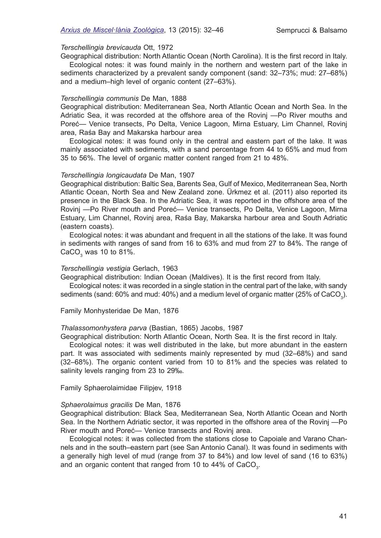## *Terschellingia brevicauda* Ott, 1972

Geographical distribution: North Atlantic Ocean (North Carolina). It is the frst record in Italy. Ecological notes: it was found mainly in the northern and western part of the lake in sediments characterized by a prevalent sandy component (sand: 32–73%; mud: 27–68%) and a medium–high level of organic content (27–63%).

#### *Terschellingia communis* De Man, 1888

Geographical distribution: Mediterranean Sea, North Atlantic Ocean and North Sea. In the Adriatic Sea, it was recorded at the offshore area of the Rovinj —Po River mouths and Poreć— Venice transects, Po Delta, Venice Lagoon, Mirna Estuary, Lim Channel, Rovinj area, Raśa Bay and Makarska harbour area

Ecological notes: it was found only in the central and eastern part of the lake. It was mainly associated with sediments, with a sand percentage from 44 to 65% and mud from 35 to 56%. The level of organic matter content ranged from 21 to 48%.

#### *Terschellingia longicaudata* De Man, 1907

Geographical distribution: Baltic Sea, Barents Sea, Gulf of Mexico, Mediterranean Sea, North Atlantic Ocean, North Sea and New Zealand zone. Ürkmez et al. (2011) also reported its presence in the Black Sea. In the Adriatic Sea, it was reported in the offshore area of the Rovinj —Po River mouth and Poreć— Venice transects, Po Delta, Venice Lagoon, Mirna Estuary, Lim Channel, Rovinj area, Raśa Bay, Makarska harbour area and South Adriatic (eastern coasts).

Ecological notes: it was abundant and frequent in all the stations of the lake. It was found in sediments with ranges of sand from 16 to 63% and mud from 27 to 84%. The range of CaCO $_{_3}$  was 10 to 81%.

#### *Terschellingia vestigia* Gerlach, 1963

Geographical distribution: Indian Ocean (Maldives). It is the frst record from Italy.

Ecological notes: it was recorded in a single station in the central part of the lake, with sandy sediments (sand: 60% and mud: 40%) and a medium level of organic matter (25% of CaCO $_{\tiny 3}$ ).

Family Monhysteridae De Man, 1876

#### *Thalassomonhystera parva* (Bastian, 1865) Jacobs, 1987

Geographical distribution: North Atlantic Ocean, North Sea. It is the frst record in Italy.

Ecological notes: it was well distributed in the lake, but more abundant in the eastern part. It was associated with sediments mainly represented by mud (32–68%) and sand (32–68%). The organic content varied from 10 to 81% and the species was related to salinity levels ranging from 23 to 29‰.

Family Sphaerolaimidae Filipjev, 1918

#### *Sphaerolaimus gracilis* De Man, 1876

Geographical distribution: Black Sea, Mediterranean Sea, North Atlantic Ocean and North Sea. In the Northern Adriatic sector, it was reported in the offshore area of the Rovinj —Po River mouth and Poreć— Venice transects and Rovinj area.

Ecological notes: it was collected from the stations close to Capoiale and Varano Channels and in the south–eastern part (see San Antonio Canal). It was found in sediments with a generally high level of mud (range from 37 to 84%) and low level of sand (16 to 63%) and an organic content that ranged from 10 to 44% of CaCO<sub>3</sub>.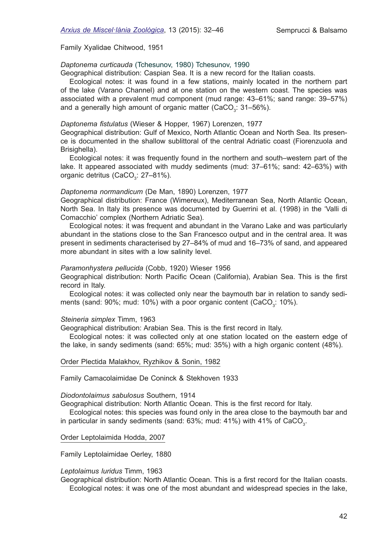Family Xyalidae Chitwood, 1951

#### *Daptonema curticauda* (Tchesunov, 1980) Tchesunov, 1990

Geographical distribution: Caspian Sea. It is a new record for the Italian coasts.

Ecological notes: it was found in a few stations, mainly located in the northern part of the lake (Varano Channel) and at one station on the western coast. The species was associated with a prevalent mud component (mud range: 43–61%; sand range: 39–57%) and a generally high amount of organic matter (CaCO $_3$ : 31–56%).

#### *Daptonema fstulatus* (Wieser & Hopper, 1967) Lorenzen, 1977

Geographical distribution: Gulf of Mexico, North Atlantic Ocean and North Sea. Its presence is documented in the shallow sublittoral of the central Adriatic coast (Fiorenzuola and Brisighella).

Ecological notes: it was frequently found in the northern and south–western part of the lake. It appeared associated with muddy sediments (mud: 37–61%; sand: 42–63%) with organic detritus (CaCO $_3$ : 27–81%).

#### *Daptonema normandicum* (De Man, 1890) Lorenzen, 1977

Geographical distribution: France (Wimereux), Mediterranean Sea, North Atlantic Ocean, North Sea. In Italy its presence was documented by Guerrini et al. (1998) in the 'Valli di Comacchio' complex (Northern Adriatic Sea).

Ecological notes: it was frequent and abundant in the Varano Lake and was particularly abundant in the stations close to the San Francesco output and in the central area. It was present in sediments characterised by 27–84% of mud and 16–73% of sand, and appeared more abundant in sites with a low salinity level.

#### *Paramonhystera pellucida* (Cobb, 1920) Wieser 1956

Geographical distribution: North Pacifc Ocean (California), Arabian Sea. This is the frst record in Italy.

Ecological notes: it was collected only near the baymouth bar in relation to sandy sediments (sand: 90%; mud: 10%) with a poor organic content (CaCO $_3$ : 10%).

#### *Steineria simplex* Timm, 1963

Geographical distribution: Arabian Sea. This is the frst record in Italy.

Ecological notes: it was collected only at one station located on the eastern edge of the lake, in sandy sediments (sand: 65%; mud: 35%) with a high organic content (48%).

#### Order Plectida Malakhov, Ryzhikov & Sonin, 1982

Family Camacolaimidae De Coninck & Stekhoven 1933

#### *Diodontolaimus sabulosus* Southern, 1914

Geographical distribution: North Atlantic Ocean. This is the frst record for Italy.

Ecological notes: this species was found only in the area close to the baymouth bar and in particular in sandy sediments (sand: 63%; mud: 41%) with 41% of CaCO<sub>3</sub>.

Order Leptolaimida Hodda, 2007

Family Leptolaimidae Oerley, 1880

#### *Leptolaimus luridus* Timm, 1963

Geographical distribution: North Atlantic Ocean. This is a frst record for the Italian coasts. Ecological notes: it was one of the most abundant and widespread species in the lake,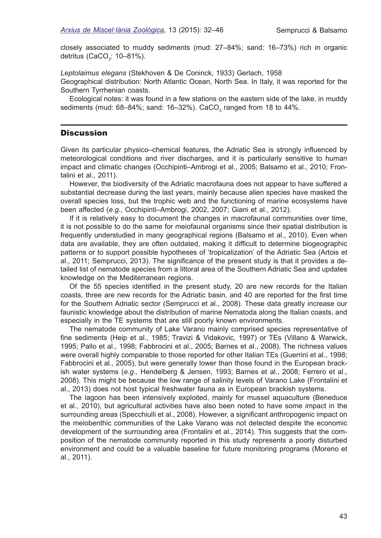closely associated to muddy sediments (mud: 27–84%; sand: 16–73%) rich in organic detritus (CaCO $_3$ : 10–81%).

*Leptolaimus elegans* (Stekhoven & De Coninck, 1933) Gerlach, 1958 Geographical distribution: North Atlantic Ocean, North Sea. In Italy, it was reported for the Southern Tyrrhenian coasts.

Ecological notes: it was found in a few stations on the eastern side of the lake, in muddy sediments (mud: 68–84%; sand: 16–32%). CaCO $_{\tiny 3}$  ranged from 18 to 44%.

## **Discussion**

Given its particular physico–chemical features, the Adriatic Sea is strongly infuenced by meteorological conditions and river discharges, and it is particularly sensitive to human impact and climatic changes (Occhipinti–Ambrogi et al., 2005; Balsamo et al., 2010; Frontalini et al., 2011).

However, the biodiversity of the Adriatic macrofauna does not appear to have suffered a substantial decrease during the last years, mainly because alien species have masked the overall species loss, but the trophic web and the functioning of marine ecosystems have been affected (*e.g.,* Occhipinti–Ambrogi, 2002, 2007; Giani et al., 2012).

If it is relatively easy to document the changes in macrofaunal communities over time, it is not possible to do the same for meiofaunal organisms since their spatial distribution is frequently understudied in many geographical regions (Balsamo et al., 2010). Even when data are available, they are often outdated, making it diffcult to determine biogeographic patterns or to support possible hypotheses of 'tropicalization' of the Adriatic Sea (Artois et al., 2011; Semprucci, 2013). The signifcance of the present study is that it provides a detailed list of nematode species from a littoral area of the Southern Adriatic Sea and updates knowledge on the Mediterranean regions.

Of the 55 species identifed in the present study, 20 are new records for the Italian coasts, three are new records for the Adriatic basin, and 40 are reported for the frst time for the Southern Adriatic sector (Semprucci et al., 2008). These data greatly increase our faunistic knowledge about the distribution of marine Nematoda along the Italian coasts, and especially in the TE systems that are still poorly known environments.

The nematode community of Lake Varano mainly comprised species representative of fine sediments (Heip et al., 1985; Travizi & Vidakovic, 1997) or TEs (Villano & Warwick, 1995; Pallo et al., 1998; Fabbrocini et al., 2005; Barnes et al., 2008). The richness values were overall highly comparable to those reported for other Italian TEs (Guerrini et al., 1998; Fabbrocini et al., 2005), but were generally lower than those found in the European brackish water systems (*e.g.,* Hendelberg & Jensen, 1993; Barnes et al., 2008; Ferrero et al., 2008). This might be because the low range of salinity levels of Varano Lake (Frontalini et al., 2013) does not host typical freshwater fauna as in European brackish systems.

The lagoon has been intensively exploited, mainly for mussel aquaculture (Beneduce et al., 2010), but agricultural activities have also been noted to have some impact in the surrounding areas (Specchiulli et al., 2008). However, a signifcant anthropogenic impact on the meiobenthic communities of the Lake Varano was not detected despite the economic development of the surrounding area (Frontalini et al., 2014). This suggests that the composition of the nematode community reported in this study represents a poorly disturbed environment and could be a valuable baseline for future monitoring programs (Moreno et al., 2011).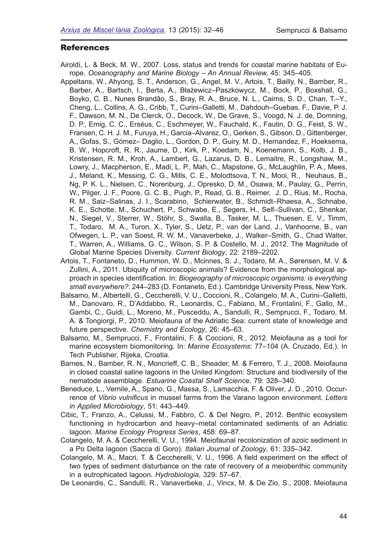## **References**

- Airoldi, L. & Beck, M. W., 2007. Loss, status and trends for coastal marine habitats of Europe. *Oceanography and Marine Biology – An Annual Review,* 45: 345–405.
- Appeltans, W., Ahyong, S. T., Anderson, G., Angel, M. V., Artois, T., Bailly, N., Bamber, R., Barber, A., Bartsch, I., Berta, A., Błażewicz–Paszkowycz, M., Bock, P., Boxshall, G., Boyko, C. B., Nunes Brandão, S., Bray, R. A., Bruce, N. L., Cairns, S. D., Chan, T.–Y., Cheng, L., Collins, A. G., Cribb, T., Curini–Galletti, M., Dahdouh–Guebas, F., Davie, P. J. F., Dawson, M. N., De Clerck, O., Decock, W., De Grave, S., Voogd, N. J. de, Domning, D. P., Emig, C. C., Erséus, C., Eschmeyer, W., Fauchald, K., Fautin, D. G., Feist, S. W., Fransen, C. H. J. M., Furuya, H., Garcia–Alvarez, O., Gerken, S., Gibson, D., Gittenberger, A., Gofas, S., Gómez– Daglio, L., Gordon, D. P., Guiry, M. D., Hernandez, F., Hoeksema, B. W., Hopcroft, R. R., Jaume, D., Kirk, P., Koedam, N., Koenemann, S., Kolb, J. B., Kristensen, R. M., Kroh, A., Lambert, G., Lazarus, D. B., Lemaitre, R., Longshaw, M., Lowry, J., Macpherson, E., Madi, L. P., Mah, C., Mapstone, G., McLaughlin, P. A., Mees, J., Meland, K., Messing, C. G., Mills, C. E., Molodtsova, T. N., Mooi, R., Neuhaus, B., Ng, P. K. L., Nielsen, C., Norenburg, J., Opresko, D. M., Osawa, M., Paulay, G., Perrin, W., Pilger, J. F., Poore, G. C. B., Pugh, P., Read, G. B., Reimer, J. D., Rius, M., Rocha, R. M., Saiz–Salinas, J. I., Scarabino, Schierwater, B., Schmidt–Rhaesa, A., Schnabe, K. E., Schotte, M., Schuchert, P., Schwabe, E., Segers, H., Self–Sullivan, C., Shenkar, N., Siegel, V., Sterrer, W., Stöhr, S., Swalla, B., Tasker, M. L., Thuesen, E. V., Timm, T., Todaro, M. A., Turon, X., Tyler, S., Uetz, P., van der Land, J., Vanhoorne, B., van Ofwegen, L. P., van Soest, R. W. M., Vanaverbeke, J., Walker–Smith, G., Chad Walter, T., Warren, A., Williams, G. C., Wilson, S. P. & Costello, M. J., 2012. The Magnitude of Global Marine Species Diversity. *Current Biology*, 22: 2189–2202.
- Artois, T., Fontaneto, D., Hummon, W. D., Mcinnes, S. J., Todaro, M. A., Sørensen, M. V. & Zullini, A., 2011. Ubiquity of microscopic animals? Evidence from the morphological approach in species identifcation. In: *Biogeography of microscopic organisms: is everything small everywhere?*: 244–283 (D. Fontaneto, Ed.). Cambridge University Press, New York.
- Balsamo, M., Albertelli, G., Ceccherelli, V. U., Coccioni, R., Colangelo, M. A., Curini–Galletti, M., Danovaro, R., D'Addabbo, R., Leonardis, C., Fabiano, M., Frontalini, F., Gallo, M., Gambi, C., Guidi, L., Moreno, M., Pusceddu, A., Sandulli, R., Semprucci, F., Todaro, M. A. & Tongiorgi, P., 2010. Meiofauna of the Adriatic Sea: current state of knowledge and future perspective. *Chemistry and Ecology*, 26: 45–63.
- Balsamo, M., Semprucci, F., Frontalini, F. & Coccioni, R., 2012. Meiofauna as a tool for marine ecosystem biomonitoring. In: *Marine Ecosystems*: 77–104 (A. Cruzado, Ed.). In Tech Publisher, Rijeka, Croatia.
- Barnes, N., Bamber, R. N., Moncrieff, C. B., Sheader, M. & Ferrero, T. J., 2008. Meiofauna in closed coastal saline lagoons in the United Kingdom: Structure and biodiversity of the nematode assemblage. *Estuarine Coastal Shelf Science*, 79: 328–340.
- Beneduce, L., Vernile, A., Spano, G., Massa, S., Lamacchia, F. & Oliver, J. D., 2010. Occurrence of *Vibrio vulnifcus* in mussel farms from the Varano lagoon environment. *Letters in Applied Microbiology*, 51: 443–449.
- Cibic, T., Franzo, A., Celussi, M., Fabbro, C. & Del Negro, P., 2012. Benthic ecosystem functioning in hydrocarbon and heavy–metal contaminated sediments of an Adriatic lagoon. *Marine Ecology Progress Series*, 458: 69–87.
- Colangelo, M. A. & Ceccherelli, V. U., 1994. Meiofaunal recolonization of azoic sediment in a Po Delta lagoon (Sacca di Goro). *Italian Journal of Zoology*, 61: 335–342.
- Colangelo, M. A., Macri, T. & Ceccherelli, V. U., 1996. A feld experiment on the effect of two types of sediment disturbance on the rate of recovery of a meiobenthic community in a eutrophicated lagoon. *Hydrobiologia*, 329: 57–67.
- De Leonardis, C., Sandulli, R., Vanaverbeke, J., Vincx, M. & De Zio, S., 2008. Meiofauna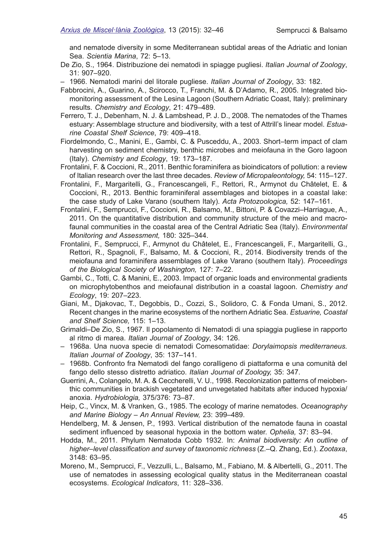and nematode diversity in some Mediterranean subtidal areas of the Adriatic and Ionian Sea. *Scientia Marina*, 72: 5–13.

- De Zio, S., 1964. Distribuzione dei nematodi in spiagge pugliesi. *Italian Journal of Zoology*, 31: 907–920.
- 1966. Nematodi marini del litorale pugliese. *Italian Journal of Zoology*, 33: 182.
- Fabbrocini, A., Guarino, A., Scirocco, T., Franchi, M. & D'Adamo, R., 2005. Integrated biomonitoring assessment of the Lesina Lagoon (Southern Adriatic Coast, Italy): preliminary results. *Chemistry and Ecology*, 21: 479–489.
- Ferrero, T. J., Debenham, N. J. & Lambshead, P. J. D., 2008. The nematodes of the Thames estuary: Assemblage structure and biodiversity, with a test of Attrill's linear model. *Estuarine Coastal Shelf Science*, 79: 409–418.
- Fiordelmondo, C., Manini, E., Gambi, C. & Pusceddu, A., 2003. Short–term impact of clam harvesting on sediment chemistry, benthic microbes and meiofauna in the Goro lagoon (Italy). *Chemistry and Ecology*, 19: 173–187.
- Frontalini, F. & Coccioni, R., 2011. Benthic foraminifera as bioindicators of pollution: a review of Italian research over the last three decades. *Review of Micropaleontology,* 54: 115–127.
- Frontalini, F., Margaritelli, G., Francescangeli, F., Rettori, R., Armynot du Châtelet, E. & Coccioni, R., 2013. Benthic foraminiferal assemblages and biotopes in a coastal lake: the case study of Lake Varano (southern Italy). *Acta Protozoologica,* 52: 147–161.
- Frontalini, F., Semprucci, F., Coccioni, R., Balsamo, M., Bittoni, P. & Covazzi–Harriague, A., 2011. On the quantitative distribution and community structure of the meio and macrofaunal communities in the coastal area of the Central Adriatic Sea (Italy). *Environmental Monitoring and Assessment,* 180: 325–344.
- Frontalini, F., Semprucci, F., Armynot du Châtelet, E., Francescangeli, F., Margaritelli, G., Rettori, R., Spagnoli, F., Balsamo, M. & Coccioni, R., 2014. Biodiversity trends of the meiofauna and foraminifera assemblages of Lake Varano (southern Italy). *Proceedings of the Biological Society of Washington,* 127: 7–22.
- Gambi, C., Totti, C. & Manini, E., 2003. Impact of organic loads and environmental gradients on microphytobenthos and meiofaunal distribution in a coastal lagoon. *Chemistry and Ecology*, 19: 207–223.
- Giani, M., Djakovac, T., Degobbis, D., Cozzi, S., Solidoro, C. & Fonda Umani, S., 2012. Recent changes in the marine ecosystems of the northern Adriatic Sea. *Estuarine, Coastal and Shelf Science,* 115: 1–13.
- Grimaldi–De Zio, S., 1967. Il popolamento di Nematodi di una spiaggia pugliese in rapporto al ritmo di marea. *Italian Journal of Zoology*, 34: 126.
- 1968a. Una nuova specie di nematodi Comesomatidae: *Dorylaimopsis mediterraneus. Italian Journal of Zoology*, 35: 137–141.
- 1968b. Confronto fra Nematodi del fango coralligeno di piattaforma e una comunità del fango dello stesso distretto adriatico. *Italian Journal of Zoology,* 35: 347.
- Guerrini, A., Colangelo, M. A. & Ceccherelli, V. U., 1998. Recolonization patterns of meiobenthic communities in brackish vegetated and unvegetated habitats after induced hypoxia/ anoxia. *Hydrobiologia,* 375/376: 73–87.
- Heip, C., Vincx, M. & Vranken, G., 1985. The ecology of marine nematodes. *Oceanography and Marine Biology – An Annual Review,* 23: 399–489.
- Hendelberg, M. & Jensen, P., 1993. Vertical distribution of the nematode fauna in coastal sediment infuenced by seasonal hypoxia in the bottom water. *Ophelia,* 37: 83–94.
- Hodda, M., 2011. Phylum Nematoda Cobb 1932. In: *Animal biodiversity: An outline of higher–level classifcation and survey of taxonomic richness* (Z.–Q. Zhang, Ed.). *Zootaxa*, 3148: 63–95.
- Moreno, M., Semprucci, F., Vezzulli, L., Balsamo, M., Fabiano, M. & Albertelli, G., 2011. The use of nematodes in assessing ecological quality status in the Mediterranean coastal ecosystems. *Ecological Indicators*, 11: 328–336.